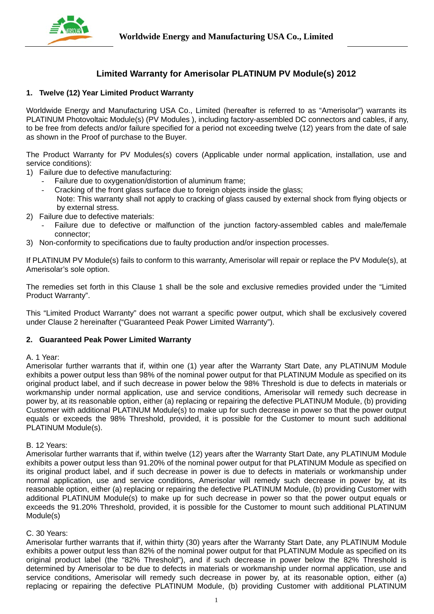

# **Limited Warranty for Amerisolar PLATINUM PV Module(s) 2012**

### **1. Twelve (12) Year Limited Product Warranty**

Worldwide Energy and Manufacturing USA Co., Limited (hereafter is referred to as "Amerisolar") warrants its PLATINUM Photovoltaic Module(s) (PV Modules ), including factory-assembled DC connectors and cables, if any, to be free from defects and/or failure specified for a period not exceeding twelve (12) years from the date of sale as shown in the Proof of purchase to the Buyer.

The Product Warranty for PV Modules(s) covers (Applicable under normal application, installation, use and service conditions):

- 1) Failure due to defective manufacturing:
	- Failure due to oxygenation/distortion of aluminum frame;
	- Cracking of the front glass surface due to foreign objects inside the glass; Note: This warranty shall not apply to cracking of glass caused by external shock from flying objects or by external stress.
- 2) Failure due to defective materials:
	- Failure due to defective or malfunction of the junction factory-assembled cables and male/female connector;
- 3) Non-conformity to specifications due to faulty production and/or inspection processes.

If PLATINUM PV Module(s) fails to conform to this warranty, Amerisolar will repair or replace the PV Module(s), at Amerisolar's sole option.

The remedies set forth in this Clause 1 shall be the sole and exclusive remedies provided under the "Limited Product Warranty".

This "Limited Product Warranty" does not warrant a specific power output, which shall be exclusively covered under Clause 2 hereinafter ("Guaranteed Peak Power Limited Warranty").

### **2. Guaranteed Peak Power Limited Warranty**

### A. 1 Year:

Amerisolar further warrants that if, within one (1) year after the Warranty Start Date, any PLATINUM Module exhibits a power output less than 98% of the nominal power output for that PLATINUM Module as specified on its original product label, and if such decrease in power below the 98% Threshold is due to defects in materials or workmanship under normal application, use and service conditions, Amerisolar will remedy such decrease in power by, at its reasonable option, either (a) replacing or repairing the defective PLATINUM Module, (b) providing Customer with additional PLATINUM Module(s) to make up for such decrease in power so that the power output equals or exceeds the 98% Threshold, provided, it is possible for the Customer to mount such additional PLATINUM Module(s).

### B. 12 Years:

Amerisolar further warrants that if, within twelve (12) years after the Warranty Start Date, any PLATINUM Module exhibits a power output less than 91.20% of the nominal power output for that PLATINUM Module as specified on its original product label, and if such decrease in power is due to defects in materials or workmanship under normal application, use and service conditions, Amerisolar will remedy such decrease in power by, at its reasonable option, either (a) replacing or repairing the defective PLATINUM Module, (b) providing Customer with additional PLATINUM Module(s) to make up for such decrease in power so that the power output equals or exceeds the 91.20% Threshold, provided, it is possible for the Customer to mount such additional PLATINUM Module(s)

### C. 30 Years:

Amerisolar further warrants that if, within thirty (30) years after the Warranty Start Date, any PLATINUM Module exhibits a power output less than 82% of the nominal power output for that PLATINUM Module as specified on its original product label (the "82% Threshold"), and if such decrease in power below the 82% Threshold is determined by Amerisolar to be due to defects in materials or workmanship under normal application, use and service conditions, Amerisolar will remedy such decrease in power by, at its reasonable option, either (a) replacing or repairing the defective PLATINUM Module, (b) providing Customer with additional PLATINUM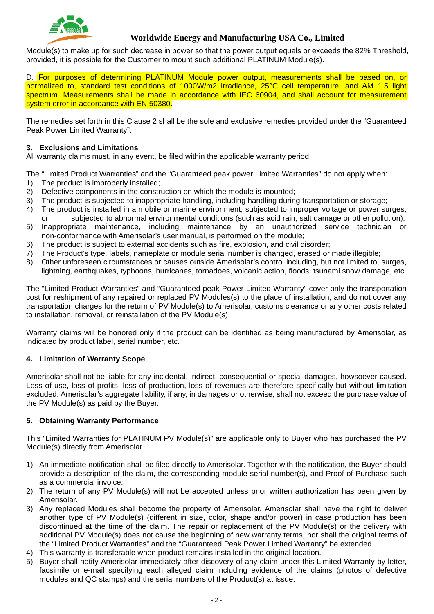

# **Worldwide Energy and Manufacturing USA Co., Limited**

Module(s) to make up for such decrease in power so that the power output equals or exceeds the 82% Threshold, provided, it is possible for the Customer to mount such additional PLATINUM Module(s).

D. For purposes of determining PLATINUM Module power output, measurements shall be based on, or normalized to, standard test conditions of 1000W/m2 irradiance, 25°C cell temperature, and AM 1.5 light spectrum. Measurements shall be made in accordance with IEC 60904, and shall account for measurement system error in accordance with EN 50380.

The remedies set forth in this Clause 2 shall be the sole and exclusive remedies provided under the "Guaranteed Peak Power Limited Warranty".

### **3. Exclusions and Limitations**

All warranty claims must, in any event, be filed within the applicable warranty period.

The "Limited Product Warranties" and the "Guaranteed peak power Limited Warranties" do not apply when:

- 1) The product is improperly installed;
- 2) Defective components in the construction on which the module is mounted;
- 3) The product is subjected to inappropriate handling, including handling during transportation or storage;
- 4) The product is installed in a mobile or marine environment, subjected to improper voltage or power surges, or subjected to abnormal environmental conditions (such as acid rain, salt damage or other pollution);
- 5) Inappropriate maintenance, including maintenance by an unauthorized service technician or non-conformance with Amerisolar's user manual, is performed on the module;
- 6) The product is subject to external accidents such as fire, explosion, and civil disorder;
- 7) The Product's type, labels, nameplate or module serial number is changed, erased or made illegible;
- 8) Other unforeseen circumstances or causes outside Amerisolar's control including, but not limited to, surges, lightning, earthquakes, typhoons, hurricanes, tornadoes, volcanic action, floods, tsunami snow damage, etc.

The "Limited Product Warranties" and "Guaranteed peak Power Limited Warranty" cover only the transportation cost for reshipment of any repaired or replaced PV Modules(s) to the place of installation, and do not cover any transportation charges for the return of PV Module(s) to Amerisolar, customs clearance or any other costs related to installation, removal, or reinstallation of the PV Module(s).

Warranty claims will be honored only if the product can be identified as being manufactured by Amerisolar, as indicated by product label, serial number, etc.

## **4. Limitation of Warranty Scope**

Amerisolar shall not be liable for any incidental, indirect, consequential or special damages, howsoever caused. Loss of use, loss of profits, loss of production, loss of revenues are therefore specifically but without limitation excluded. Amerisolar's aggregate liability, if any, in damages or otherwise, shall not exceed the purchase value of the PV Module(s) as paid by the Buyer.

### **5. Obtaining Warranty Performance**

This "Limited Warranties for PLATINUM PV Module(s)" are applicable only to Buyer who has purchased the PV Module(s) directly from Amerisolar.

- 1) An immediate notification shall be filed directly to Amerisolar. Together with the notification, the Buyer should provide a description of the claim, the corresponding module serial number(s), and Proof of Purchase such as a commercial invoice.
- 2) The return of any PV Module(s) will not be accepted unless prior written authorization has been given by Amerisolar.
- 3) Any replaced Modules shall become the property of Amerisolar. Amerisolar shall have the right to deliver another type of PV Module(s) (different in size, color, shape and/or power) in case production has been discontinued at the time of the claim. The repair or replacement of the PV Module(s) or the delivery with additional PV Module(s) does not cause the beginning of new warranty terms, nor shall the original terms of the "Limited Product Warranties" and the "Guaranteed Peak Power Limited Warranty" be extended.
- 4) This warranty is transferable when product remains installed in the original location.
- 5) Buyer shall notify Amerisolar immediately after discovery of any claim under this Limited Warranty by letter, facsimile or e-mail specifying each alleged claim including evidence of the claims (photos of defective modules and QC stamps) and the serial numbers of the Product(s) at issue.